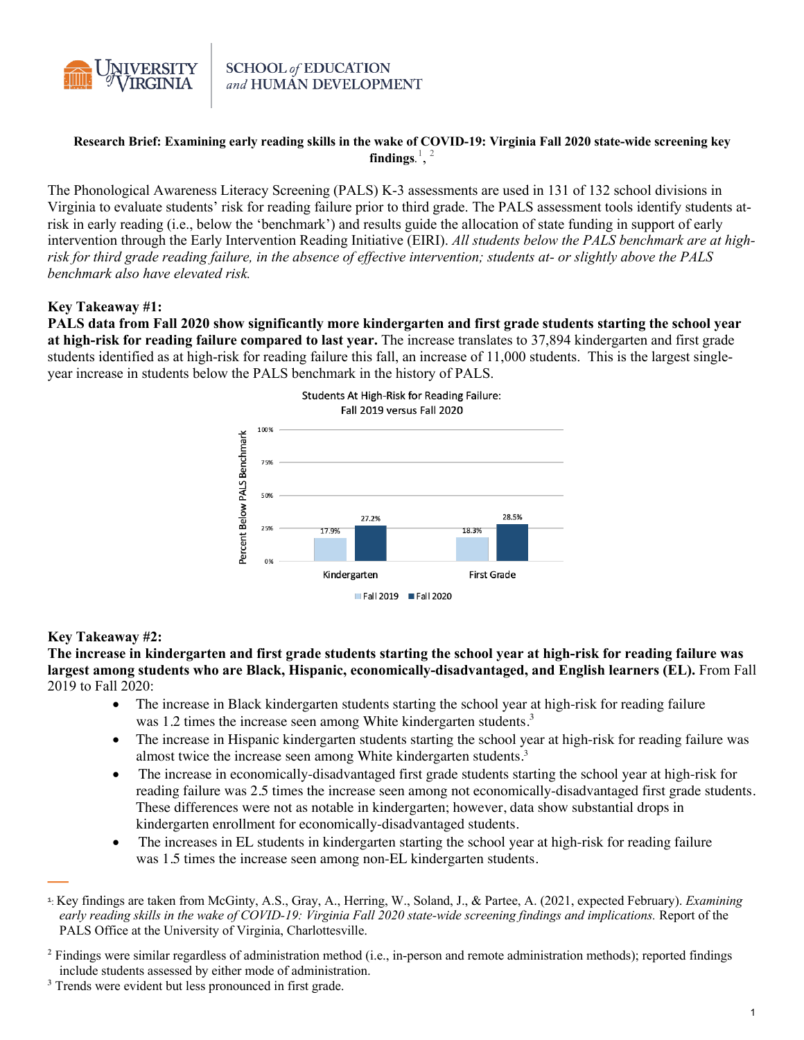

# Research Brief: Examining early reading skills in the wake of COVID-19: Virginia Fall 2020 state-wide screening key findings.<sup>1</sup>,  $^2$

The Phonological Awareness Literacy Screening (PALS) K-3 assessments are used in 131 of 132 school divisions in Virginia to evaluate students' risk for reading failure prior to third grade. The PALS assessment tools identify students atrisk in early reading (i.e., below the 'benchmark') and results guide the allocation of state funding in support of early intervention through the Early Intervention Reading Initiative (EIRI). *All students below the PALS benchmark are at highrisk for third grade reading failure, in the absence of effective intervention; students at- or slightly above the PALS benchmark also have elevated risk.*

# **Key Takeaway #1:**

**PALS data from Fall 2020 show significantly more kindergarten and first grade students starting the school year at high-risk for reading failure compared to last year.** The increase translates to 37,894 kindergarten and first grade students identified as at high-risk for reading failure this fall, an increase of 11,000 students. This is the largest singleyear increase in students below the PALS benchmark in the history of PALS.



# **Key Takeaway #2:**

—

**The increase in kindergarten and first grade students starting the school year at high-risk for reading failure was largest among students who are Black, Hispanic, economically-disadvantaged, and English learners (EL).** From Fall 2019 to Fall 2020:

- The increase in Black kindergarten students starting the school year at high-risk for reading failure was 1.2 times the increase seen among White kindergarten students.<sup>3</sup>
- The increase in Hispanic kindergarten students starting the school year at high-risk for reading failure was almost twice the increase seen among White kindergarten students.<sup>3</sup>
- The increase in economically-disadvantaged first grade students starting the school year at high-risk for reading failure was 2.5 times the increase seen among not economically-disadvantaged first grade students. These differences were not as notable in kindergarten; however, data show substantial drops in kindergarten enrollment for economically-disadvantaged students.
- The increases in EL students in kindergarten starting the school year at high-risk for reading failure was 1.5 times the increase seen among non-EL kindergarten students.

**<sup>2</sup>** Findings were similar regardless of administration method (i.e., in-person and remote administration methods); reported findings include students assessed by either mode of administration.

<sup>1</sup>: Key findings are taken from McGinty, A.S., Gray, A., Herring, W., Soland, J., & Partee, A. (2021, expected February). *Examining* early reading skills in the wake of COVID-19: Virginia Fall 2020 state-wide screening findings and implications. Report of the PALS Office at the University of Virginia, Charlottesville.

**<sup>3</sup>** Trends were evident but less pronounced in first grade.